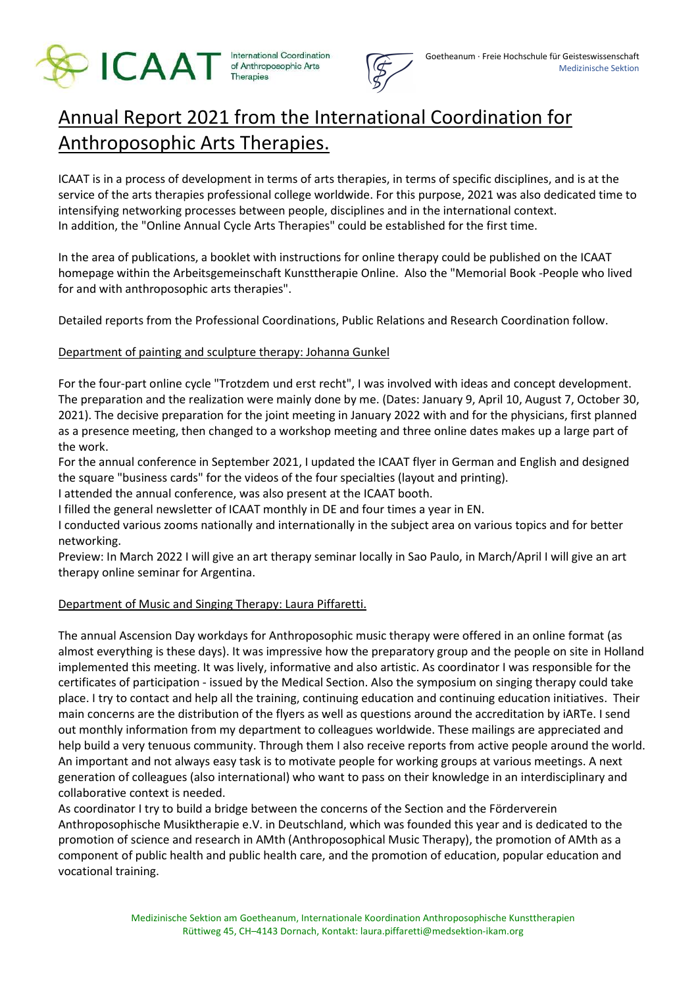



# Annual Report 2021 from the International Coordination for Anthroposophic Arts Therapies.

ICAAT is in a process of development in terms of arts therapies, in terms of specific disciplines, and is at the service of the arts therapies professional college worldwide. For this purpose, 2021 was also dedicated time to intensifying networking processes between people, disciplines and in the international context. In addition, the "Online Annual Cycle Arts Therapies" could be established for the first time.

In the area of publications, a booklet with instructions for online therapy could be published on the ICAAT homepage within the Arbeitsgemeinschaft Kunsttherapie Online. Also the "Memorial Book -People who lived for and with anthroposophic arts therapies".

Detailed reports from the Professional Coordinations, Public Relations and Research Coordination follow.

# Department of painting and sculpture therapy: Johanna Gunkel

For the four-part online cycle "Trotzdem und erst recht", I was involved with ideas and concept development. The preparation and the realization were mainly done by me. (Dates: January 9, April 10, August 7, October 30, 2021). The decisive preparation for the joint meeting in January 2022 with and for the physicians, first planned as a presence meeting, then changed to a workshop meeting and three online dates makes up a large part of the work.

For the annual conference in September 2021, I updated the ICAAT flyer in German and English and designed the square "business cards" for the videos of the four specialties (layout and printing).

I attended the annual conference, was also present at the ICAAT booth.

I filled the general newsletter of ICAAT monthly in DE and four times a year in EN.

I conducted various zooms nationally and internationally in the subject area on various topics and for better networking.

Preview: In March 2022 I will give an art therapy seminar locally in Sao Paulo, in March/April I will give an art therapy online seminar for Argentina.

# Department of Music and Singing Therapy: Laura Piffaretti.

The annual Ascension Day workdays for Anthroposophic music therapy were offered in an online format (as almost everything is these days). It was impressive how the preparatory group and the people on site in Holland implemented this meeting. It was lively, informative and also artistic. As coordinator I was responsible for the certificates of participation - issued by the Medical Section. Also the symposium on singing therapy could take place. I try to contact and help all the training, continuing education and continuing education initiatives. Their main concerns are the distribution of the flyers as well as questions around the accreditation by iARTe. I send out monthly information from my department to colleagues worldwide. These mailings are appreciated and help build a very tenuous community. Through them I also receive reports from active people around the world. An important and not always easy task is to motivate people for working groups at various meetings. A next generation of colleagues (also international) who want to pass on their knowledge in an interdisciplinary and collaborative context is needed.

As coordinator I try to build a bridge between the concerns of the Section and the Förderverein Anthroposophische Musiktherapie e.V. in Deutschland, which was founded this year and is dedicated to the promotion of science and research in AMth (Anthroposophical Music Therapy), the promotion of AMth as a component of public health and public health care, and the promotion of education, popular education and vocational training.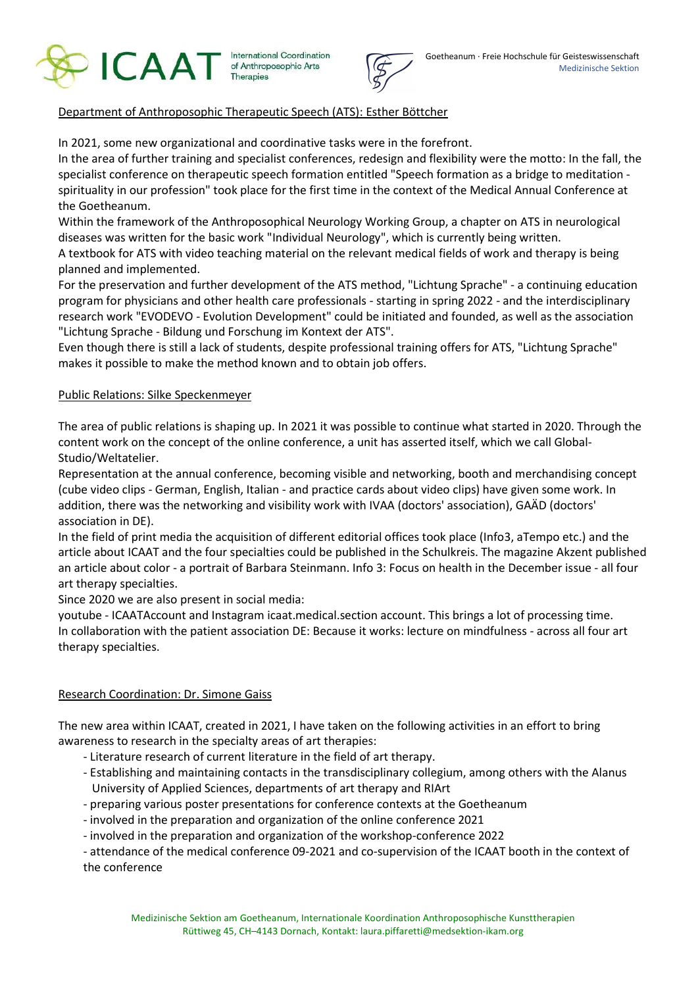

International Coordination of Anthroposophic Arts Theranies



Department of Anthroposophic Therapeutic Speech (ATS): Esther Böttcher

In 2021, some new organizational and coordinative tasks were in the forefront.

In the area of further training and specialist conferences, redesign and flexibility were the motto: In the fall, the specialist conference on therapeutic speech formation entitled "Speech formation as a bridge to meditation spirituality in our profession" took place for the first time in the context of the Medical Annual Conference at the Goetheanum.

Within the framework of the Anthroposophical Neurology Working Group, a chapter on ATS in neurological diseases was written for the basic work "Individual Neurology", which is currently being written.

A textbook for ATS with video teaching material on the relevant medical fields of work and therapy is being planned and implemented.

For the preservation and further development of the ATS method, "Lichtung Sprache" - a continuing education program for physicians and other health care professionals - starting in spring 2022 - and the interdisciplinary research work "EVODEVO - Evolution Development" could be initiated and founded, as well as the association "Lichtung Sprache - Bildung und Forschung im Kontext der ATS".

Even though there is still a lack of students, despite professional training offers for ATS, "Lichtung Sprache" makes it possible to make the method known and to obtain job offers.

## Public Relations: Silke Speckenmeyer

The area of public relations is shaping up. In 2021 it was possible to continue what started in 2020. Through the content work on the concept of the online conference, a unit has asserted itself, which we call Global-Studio/Weltatelier.

Representation at the annual conference, becoming visible and networking, booth and merchandising concept (cube video clips - German, English, Italian - and practice cards about video clips) have given some work. In addition, there was the networking and visibility work with IVAA (doctors' association), GAÄD (doctors' association in DE).

In the field of print media the acquisition of different editorial offices took place (Info3, aTempo etc.) and the article about ICAAT and the four specialties could be published in the Schulkreis. The magazine Akzent published an article about color - a portrait of Barbara Steinmann. Info 3: Focus on health in the December issue - all four art therapy specialties.

Since 2020 we are also present in social media:

youtube - ICAATAccount and Instagram icaat.medical.section account. This brings a lot of processing time. In collaboration with the patient association DE: Because it works: lecture on mindfulness - across all four art therapy specialties.

### Research Coordination: Dr. Simone Gaiss

The new area within ICAAT, created in 2021, I have taken on the following activities in an effort to bring awareness to research in the specialty areas of art therapies:

- Literature research of current literature in the field of art therapy.
- Establishing and maintaining contacts in the transdisciplinary collegium, among others with the Alanus University of Applied Sciences, departments of art therapy and RIArt
- preparing various poster presentations for conference contexts at the Goetheanum
- involved in the preparation and organization of the online conference 2021
- involved in the preparation and organization of the workshop-conference 2022

- attendance of the medical conference 09-2021 and co-supervision of the ICAAT booth in the context of the conference